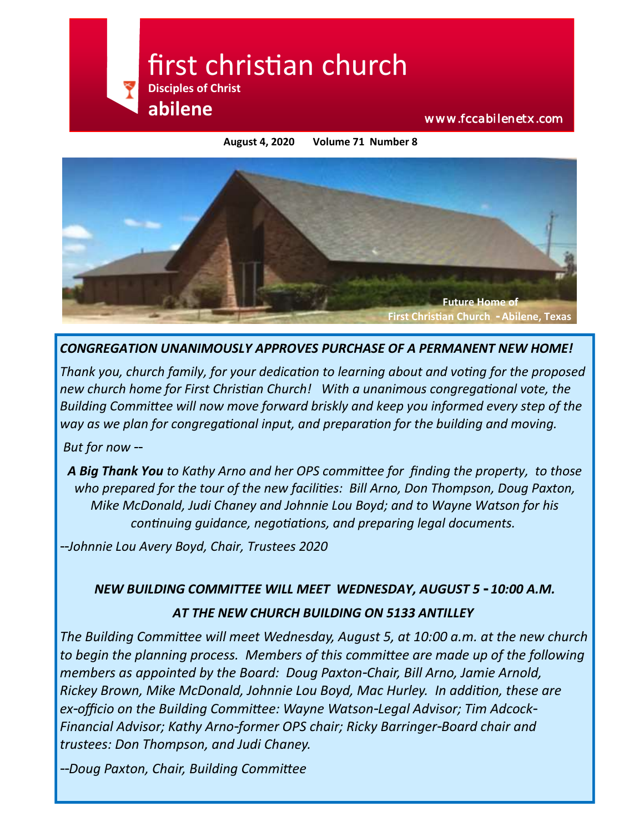

**August 4, 2020 Volume 71 Number 8**



*CONGREGATION UNANIMOUSLY APPROVES PURCHASE OF A PERMANENT NEW HOME!*

*Thank you, church family, for your dedication to learning about and voting for the proposed new church home for First Christian Church! With a unanimous congregational vote, the Building Committee will now move forward briskly and keep you informed every step of the way as we plan for congregational input, and preparation for the building and moving.*

*But for now --*

*A Big Thank You to Kathy Arno and her OPS committee for finding the property, to those who prepared for the tour of the new facilities: Bill Arno, Don Thompson, Doug Paxton, Mike McDonald, Judi Chaney and Johnnie Lou Boyd; and to Wayne Watson for his continuing guidance, negotiations, and preparing legal documents.*

*--Johnnie Lou Avery Boyd, Chair, Trustees 2020*

# *NEW BUILDING COMMITTEE WILL MEET WEDNESDAY, AUGUST 5 - 10:00 A.M. AT THE NEW CHURCH BUILDING ON 5133 ANTILLEY*

*The Building Committee will meet Wednesday, August 5, at 10:00 a.m. at the new church to begin the planning process. Members of this committee are made up of the following members as appointed by the Board: Doug Paxton-Chair, Bill Arno, Jamie Arnold, Rickey Brown, Mike McDonald, Johnnie Lou Boyd, Mac Hurley. In addition, these are ex-officio on the Building Committee: Wayne Watson-Legal Advisor; Tim Adcock-Financial Advisor; Kathy Arno-former OPS chair; Ricky Barringer-Board chair and trustees: Don Thompson, and Judi Chaney.* 

*--Doug Paxton, Chair, Building Committee*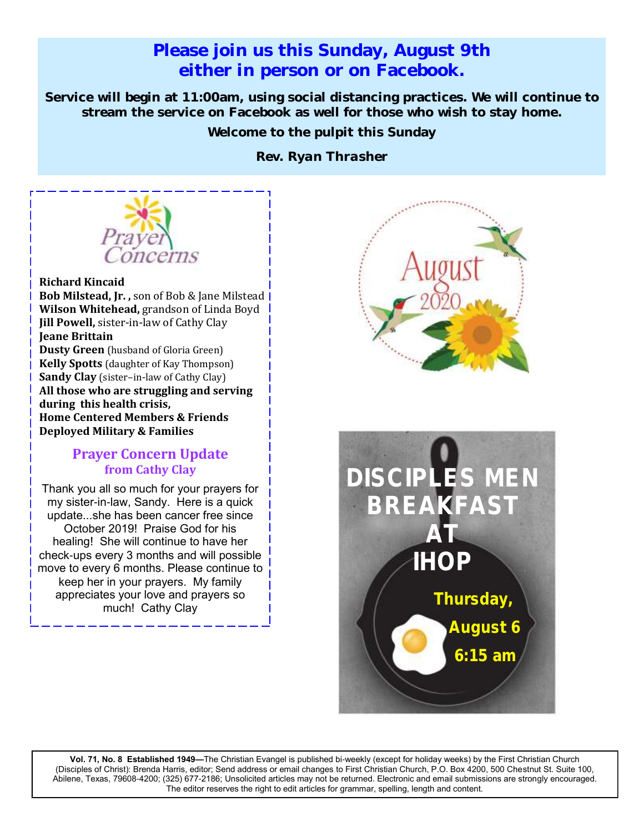# **Please join us this Sunday, August 9th either in person or on Facebook.**

**Service will begin at 11:00am, using social distancing practices. We will continue to stream the service on Facebook as well for those who wish to stay home.**

**Welcome to the pulpit this Sunday** 

*Rev. Ryan Thrasher*



#### **Richard Kincaid**

 **Bob Milstead, Jr. ,** son of Bob & Jane Milstead **Wilson Whitehead,** grandson of Linda Boyd  **Jill Powell,** sister-in-law of Cathy Clay  **Jeane Brittain Dusty Green** (husband of Gloria Green)  **Kelly Spotts** (daughter of Kay Thompson)  **Sandy Clay** (sister–in-law of Cathy Clay)  **All those who are struggling and serving during this health crisis, Home Centered Members & Friends Deployed Military & Families**

#### **Prayer Concern Update from Cathy Clay**

Thank you all so much for your prayers for my sister-in-law, Sandy. Here is a quick update...she has been cancer free since October 2019! Praise God for his healing! She will continue to have her check-ups every 3 months and will possible move to every 6 months. Please continue to keep her in your prayers. My family appreciates your love and prayers so much! Cathy Clay





**Vol. 71, No. 8 Established 1949—**The Christian Evangel is published bi-weekly (except for holiday weeks) by the First Christian Church (Disciples of Christ): Brenda Harris, editor; Send address or email changes to First Christian Church, P.O. Box 4200, 500 Chestnut St. Suite 100, Abilene, Texas, 79608-4200; (325) 677-2186; Unsolicited articles may not be returned. Electronic and email submissions are strongly encouraged. The editor reserves the right to edit articles for grammar, spelling, length and content.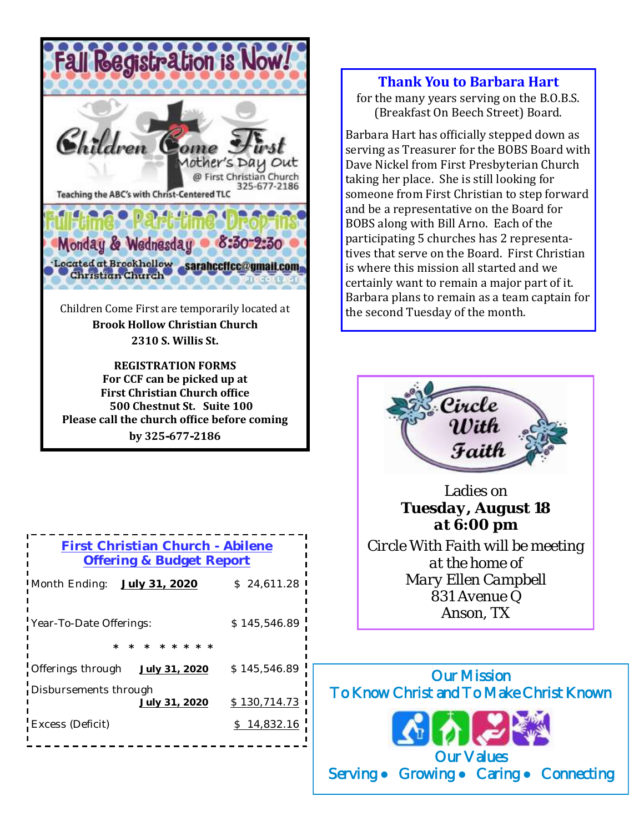

Children Come First are temporarily located at **Brook Hollow Christian Church 2310 S. Willis St.**

**REGISTRATION FORMS For CCF can be picked up at First Christian Church office 500 Chestnut St. Suite 100 Please call the church office before coming by 325-677-2186**

| First Christian Church - Abilene<br>Offering & Budget Report |              |
|--------------------------------------------------------------|--------------|
| Month Ending:<br>July 31, 2020                               | \$24,611.28  |
| Year-To-Date Offerings:                                      | \$145,546.89 |
|                                                              |              |
| Offerings through<br>July 31, 2020                           | \$145,546.89 |
| Disbursements through<br>July 31, 2020                       | \$130,714.73 |
| Excess (Deficit)                                             | \$14,832.16  |

#### **Thank You to Barbara Hart**

for the many years serving on the B.O.B.S. (Breakfast On Beech Street) Board.

Barbara Hart has officially stepped down as serving as Treasurer for the BOBS Board with Dave Nickel from First Presbyterian Church taking her place. She is still looking for someone from First Christian to step forward and be a representative on the Board for BOBS along with Bill Arno. Each of the participating 5 churches has 2 representatives that serve on the Board. First Christian is where this mission all started and we certainly want to remain a major part of it. Barbara plans to remain as a team captain for the second Tuesday of the month.



Ladies on *Tuesday, August 18 at 6:00 pm Circle With Faith will be meeting at the home of Mary Ellen Campbell 831 Avenue Q Anson, TX*